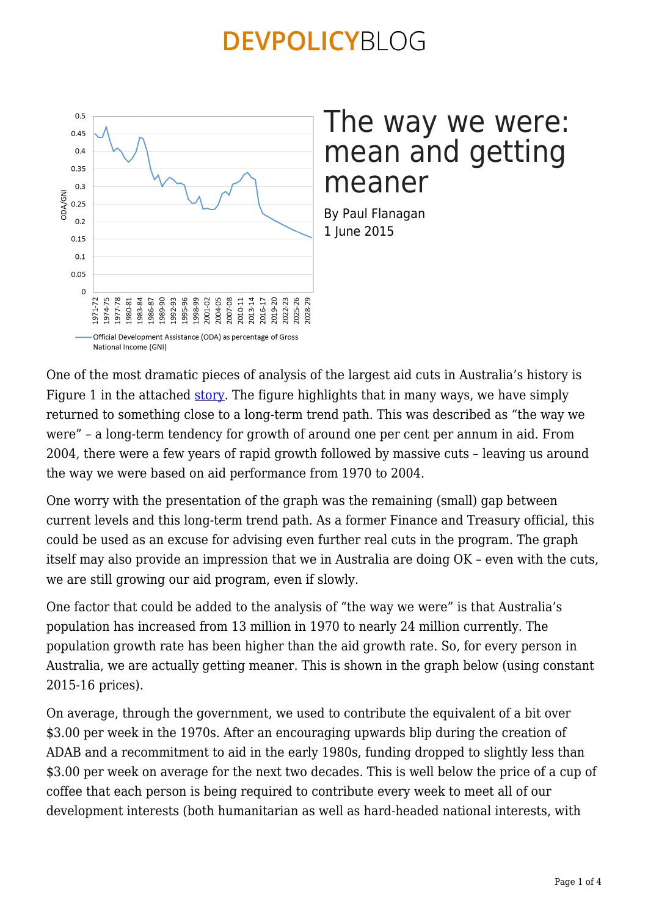

### The way we were: mean and getting meaner

By Paul Flanagan 1 June 2015

One of the most dramatic pieces of analysis of the largest aid cuts in Australia's history is Figure 1 in the attached [story](https://devpolicy.org/australian-aid-the-way-we-were/). The figure highlights that in many ways, we have simply returned to something close to a long-term trend path. This was described as "the way we were" – a long-term tendency for growth of around one per cent per annum in aid. From 2004, there were a few years of rapid growth followed by massive cuts – leaving us around the way we were based on aid performance from 1970 to 2004.

One worry with the presentation of the graph was the remaining (small) gap between current levels and this long-term trend path. As a former Finance and Treasury official, this could be used as an excuse for advising even further real cuts in the program. The graph itself may also provide an impression that we in Australia are doing OK – even with the cuts, we are still growing our aid program, even if slowly.

One factor that could be added to the analysis of "the way we were" is that Australia's population has increased from 13 million in 1970 to nearly 24 million currently. The population growth rate has been higher than the aid growth rate. So, for every person in Australia, we are actually getting meaner. This is shown in the graph below (using constant 2015-16 prices).

On average, through the government, we used to contribute the equivalent of a bit over \$3.00 per week in the 1970s. After an encouraging upwards blip during the creation of ADAB and a recommitment to aid in the early 1980s, funding dropped to slightly less than \$3.00 per week on average for the next two decades. This is well below the price of a cup of coffee that each person is being required to contribute every week to meet all of our development interests (both humanitarian as well as hard-headed national interests, with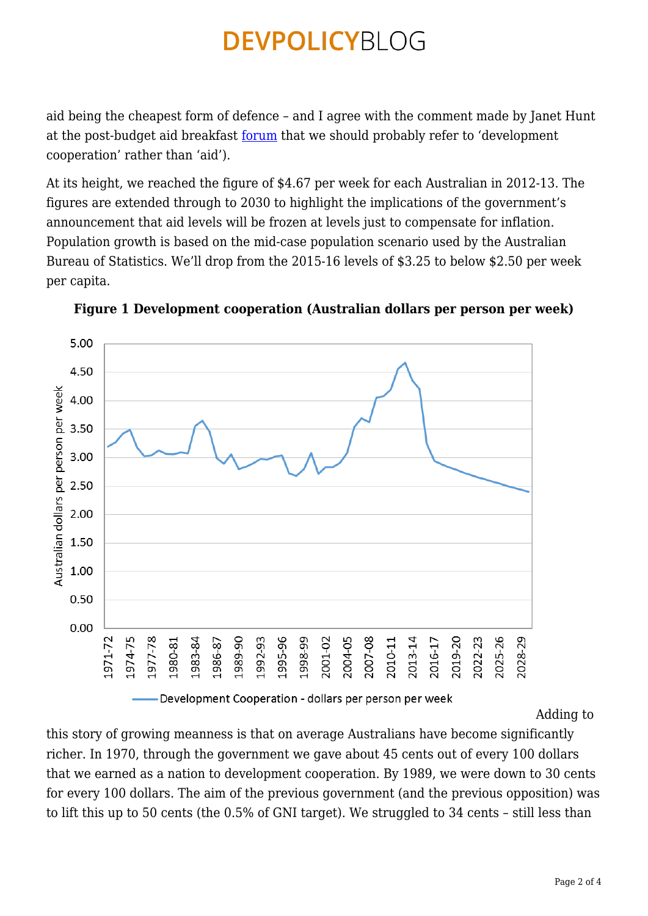aid being the cheapest form of defence – and I agree with the comment made by Janet Hunt at the post-budget aid breakfast <u>forum</u> that we should probably refer to 'development cooperation' rather than 'aid').

At its height, we reached the figure of \$4.67 per week for each Australian in 2012-13. The figures are extended through to 2030 to highlight the implications of the government's announcement that aid levels will be frozen at levels just to compensate for inflation. Population growth is based on the mid-case population scenario used by the Australian Bureau of Statistics. We'll drop from the 2015-16 levels of \$3.25 to below \$2.50 per week per capita.



**Figure 1 Development cooperation (Australian dollars per person per week)**

Development Cooperation - dollars per person per week

[A](https://devpolicy.org/wp-content/uploads/2015/06/Figure-13.png)dding to

this story of growing meanness is that on average Australians have become significantly richer. In 1970, through the government we gave about 45 cents out of every 100 dollars that we earned as a nation to development cooperation. By 1989, we were down to 30 cents for every 100 dollars. The aim of the previous government (and the previous opposition) was to lift this up to 50 cents (the 0.5% of GNI target). We struggled to 34 cents – still less than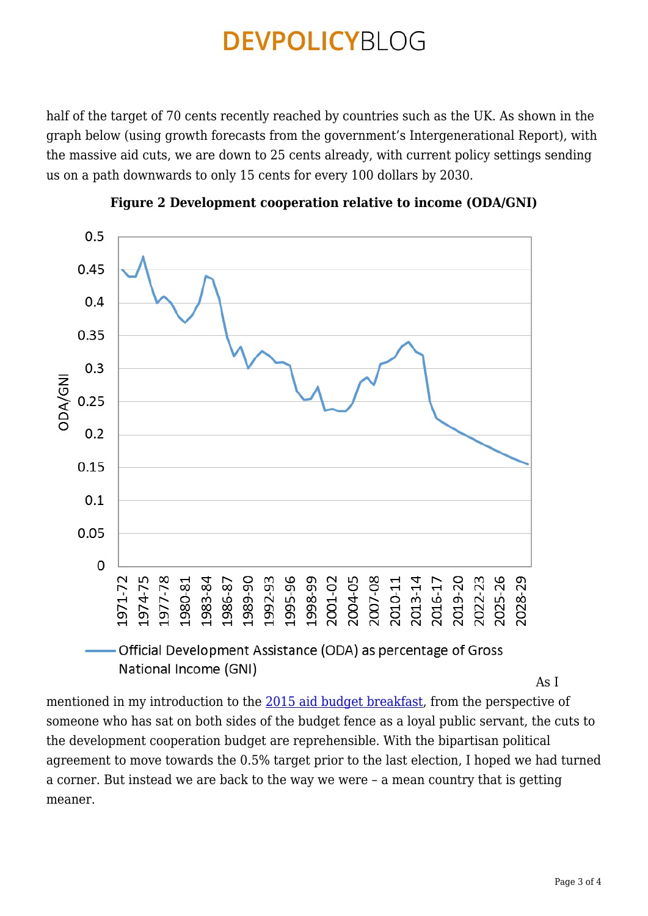half of the target of 70 cents recently reached by countries such as the UK. As shown in the graph below (using growth forecasts from the government's Intergenerational Report), with the massive aid cuts, we are down to 25 cents already, with current policy settings sending us on a path downwards to only 15 cents for every 100 dollars by 2030.





[A](https://devpolicy.org/wp-content/uploads/2015/06/Figure-22.png)s I

mentioned in my introduction to the [2015 aid budget breakfast,](https://crawford.anu.edu.au/events/5486/2015-aid-budget-breakfast) from the perspective of someone who has sat on both sides of the budget fence as a loyal public servant, the cuts to the development cooperation budget are reprehensible. With the bipartisan political agreement to move towards the 0.5% target prior to the last election, I hoped we had turned a corner. But instead we are back to the way we were – a mean country that is getting meaner.